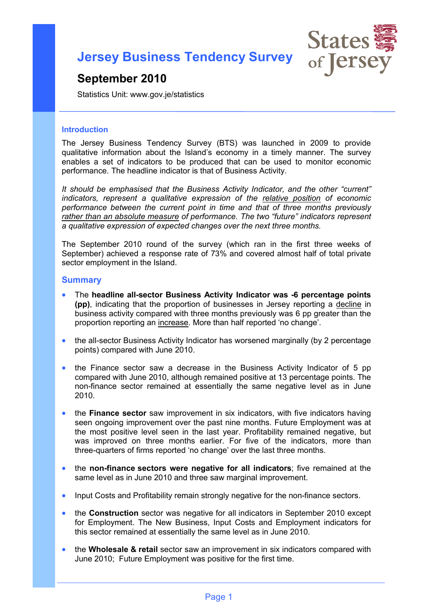**Jersey Business Tendency Survey**



# **September 2010**

Statistics Unit: www.gov.je/statistics

#### **Introduction**

The Jersey Business Tendency Survey (BTS) was launched in 2009 to provide qualitative information about the Island's economy in a timely manner. The survey enables a set of indicators to be produced that can be used to monitor economic performance. The headline indicator is that of Business Activity.

*It should be emphasised that the Business Activity Indicator, and the other "current" indicators, represent a qualitative expression of the relative position of economic performance between the current point in time and that of three months previously rather than an absolute measure of performance. The two "future" indicators represent a qualitative expression of expected changes over the next three months.*

The September 2010 round of the survey (which ran in the first three weeks of September) achieved a response rate of 73% and covered almost half of total private sector employment in the Island.

#### **Summary**

- The **headline all-sector Business Activity Indicator was -6 percentage points (pp)**, indicating that the proportion of businesses in Jersey reporting a decline in business activity compared with three months previously was 6 pp greater than the proportion reporting an increase. More than half reported 'no change'.
- the all-sector Business Activity Indicator has worsened marginally (by 2 percentage points) compared with June 2010.
- the Finance sector saw a decrease in the Business Activity Indicator of 5 pp compared with June 2010, although remained positive at 13 percentage points. The non-finance sector remained at essentially the same negative level as in June 2010.
- the **Finance sector** saw improvement in six indicators, with five indicators having seen ongoing improvement over the past nine months. Future Employment was at the most positive level seen in the last year. Profitability remained negative, but was improved on three months earlier. For five of the indicators, more than three-quarters of firms reported 'no change' over the last three months.
- the **non-finance sectors were negative for all indicators**; five remained at the same level as in June 2010 and three saw marginal improvement.
- Input Costs and Profitability remain strongly negative for the non-finance sectors.
- the **Construction** sector was negative for all indicators in September 2010 except for Employment. The New Business, Input Costs and Employment indicators for this sector remained at essentially the same level as in June 2010.
- the **Wholesale & retail** sector saw an improvement in six indicators compared with June 2010; Future Employment was positive for the first time.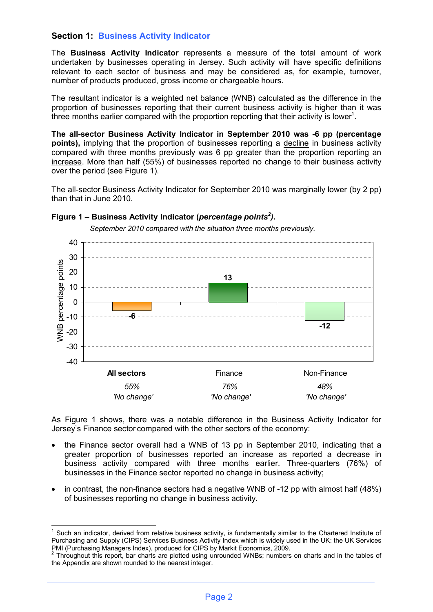## **Section 1: Business Activity Indicator**

The **Business Activity Indicator** represents a measure of the total amount of work undertaken by businesses operating in Jersey. Such activity will have specific definitions relevant to each sector of business and may be considered as, for example, turnover, number of products produced, gross income or chargeable hours.

The resultant indicator is a weighted net balance (WNB) calculated as the difference in the proportion of businesses reporting that their current business activity is higher than it was three months earlier compared with the proportion reporting that their activity is lower<sup>1</sup>.

**The all-sector Business Activity Indicator in September 2010 was -6 pp (percentage points),** implying that the proportion of businesses reporting a decline in business activity compared with three months previously was 6 pp greater than the proportion reporting an increase. More than half (55%) of businesses reported no change to their business activity over the period (see Figure 1).

The all-sector Business Activity Indicator for September 2010 was marginally lower (by 2 pp) than that in June 2010.



#### **Figure 1 – Business Activity Indicator (***percentage points<sup>2</sup> )***.**

 *September 2010 compared with the situation three months previously.*

As Figure 1 shows, there was a notable difference in the Business Activity Indicator for Jersey's Finance sector compared with the other sectors of the economy:

- the Finance sector overall had a WNB of 13 pp in September 2010, indicating that a greater proportion of businesses reported an increase as reported a decrease in business activity compared with three months earlier. Three-quarters (76%) of businesses in the Finance sector reported no change in business activity;
- in contrast, the non-finance sectors had a negative WNB of -12 pp with almost half (48%) of businesses reporting no change in business activity.

<sup>&</sup>lt;u>.</u>  $1$  Such an indicator, derived from relative business activity, is fundamentally similar to the Chartered Institute of Purchasing and Supply (CIPS) Services Business Activity Index which is widely used in the UK: the UK Services PMI (Purchasing Managers Index), produced for CIPS by Markit Economics, 2009.<br><sup>2</sup> Throughout this report, bar charts are plotted using unrounded WNBs; numbers on charts and in the tables of

the Appendix are shown rounded to the nearest integer.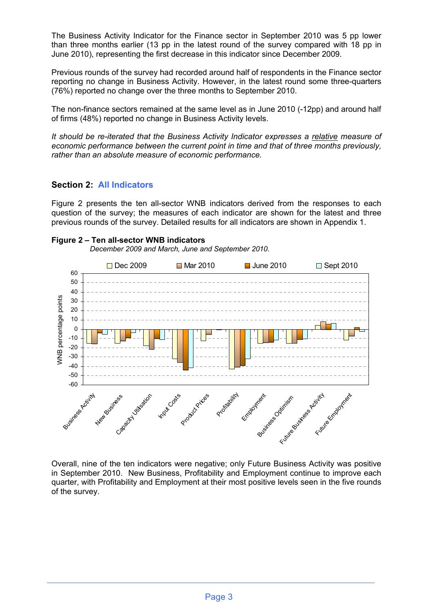The Business Activity Indicator for the Finance sector in September 2010 was 5 pp lower than three months earlier (13 pp in the latest round of the survey compared with 18 pp in June 2010), representing the first decrease in this indicator since December 2009.

Previous rounds of the survey had recorded around half of respondents in the Finance sector reporting no change in Business Activity. However, in the latest round some three-quarters (76%) reported no change over the three months to September 2010.

The non-finance sectors remained at the same level as in June 2010 (-12pp) and around half of firms (48%) reported no change in Business Activity levels.

*It should be re-iterated that the Business Activity Indicator expresses a relative measure of economic performance between the current point in time and that of three months previously, rather than an absolute measure of economic performance.*

## **Section 2: All Indicators**

Figure 2 presents the ten all-sector WNB indicators derived from the responses to each question of the survey; the measures of each indicator are shown for the latest and three previous rounds of the survey. Detailed results for all indicators are shown in Appendix 1.

#### **Figure 2 – Ten all-sector WNB indicators**

 *December 2009 and March, June and September 2010.*



Overall, nine of the ten indicators were negative; only Future Business Activity was positive in September 2010. New Business, Profitability and Employment continue to improve each quarter, with Profitability and Employment at their most positive levels seen in the five rounds of the survey.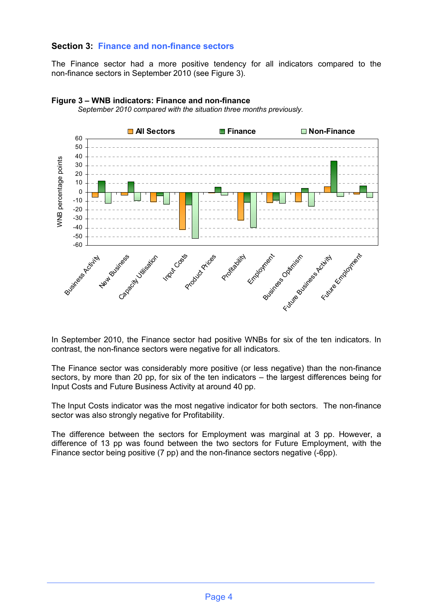## **Section 3: Finance and non-finance sectors**

The Finance sector had a more positive tendency for all indicators compared to the non-finance sectors in September 2010 (see Figure 3).



## **Figure 3 – WNB indicators: Finance and non-finance**

*September 2010 compared with the situation three months previously.*

In September 2010, the Finance sector had positive WNBs for six of the ten indicators. In contrast, the non-finance sectors were negative for all indicators.

The Finance sector was considerably more positive (or less negative) than the non-finance sectors, by more than 20 pp, for six of the ten indicators – the largest differences being for Input Costs and Future Business Activity at around 40 pp.

The Input Costs indicator was the most negative indicator for both sectors. The non-finance sector was also strongly negative for Profitability.

The difference between the sectors for Employment was marginal at 3 pp. However, a difference of 13 pp was found between the two sectors for Future Employment, with the Finance sector being positive (7 pp) and the non-finance sectors negative (-6pp).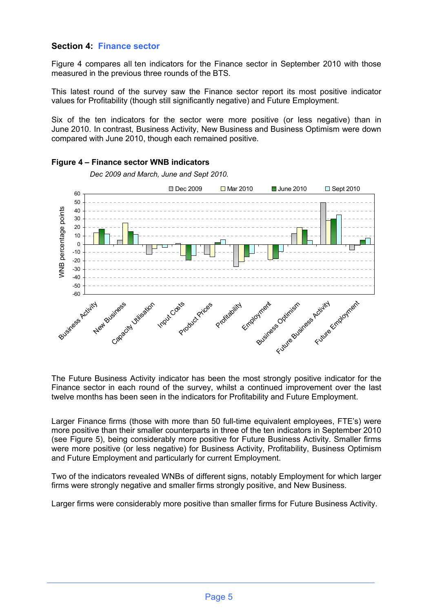## **Section 4: Finance sector**

Figure 4 compares all ten indicators for the Finance sector in September 2010 with those measured in the previous three rounds of the BTS.

This latest round of the survey saw the Finance sector report its most positive indicator values for Profitability (though still significantly negative) and Future Employment.

Six of the ten indicators for the sector were more positive (or less negative) than in June 2010. In contrast, Business Activity, New Business and Business Optimism were down compared with June 2010, though each remained positive.



### **Figure 4 – Finance sector WNB indicators**

 *Dec 2009 and March, June and Sept 2010.*

The Future Business Activity indicator has been the most strongly positive indicator for the Finance sector in each round of the survey, whilst a continued improvement over the last twelve months has been seen in the indicators for Profitability and Future Employment.

Larger Finance firms (those with more than 50 full-time equivalent employees, FTE's) were more positive than their smaller counterparts in three of the ten indicators in September 2010 (see Figure 5), being considerably more positive for Future Business Activity. Smaller firms were more positive (or less negative) for Business Activity, Profitability, Business Optimism and Future Employment and particularly for current Employment.

Two of the indicators revealed WNBs of different signs, notably Employment for which larger firms were strongly negative and smaller firms strongly positive, and New Business.

Larger firms were considerably more positive than smaller firms for Future Business Activity.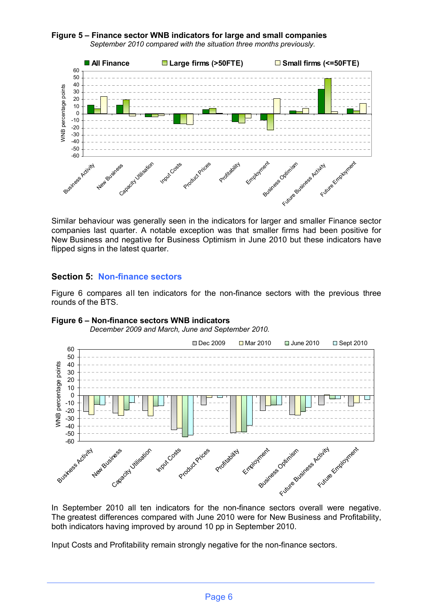#### **Figure 5 – Finance sector WNB indicators for large and small companies**  *September 2010 compared with the situation three months previously.*



Similar behaviour was generally seen in the indicators for larger and smaller Finance sector companies last quarter. A notable exception was that smaller firms had been positive for New Business and negative for Business Optimism in June 2010 but these indicators have flipped signs in the latest quarter.

## **Section 5: Non-finance sectors**

Figure 6 compares all ten indicators for the non-finance sectors with the previous three rounds of the BTS.



#### **Figure 6 – Non-finance sectors WNB indicators**

 *December 2009 and March, June and September 2010.*

In September 2010 all ten indicators for the non-finance sectors overall were negative. The greatest differences compared with June 2010 were for New Business and Profitability, both indicators having improved by around 10 pp in September 2010.

Input Costs and Profitability remain strongly negative for the non-finance sectors.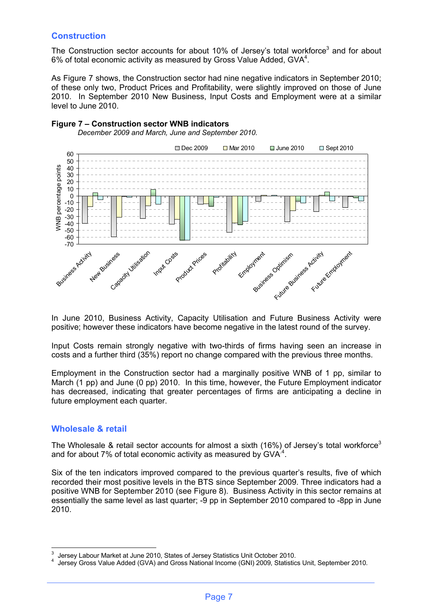## **Construction**

The Construction sector accounts for about 10% of Jersey's total workforce<sup>3</sup> and for about 6% of total economic activity as measured by Gross Value Added, GVA $4$ .

As Figure 7 shows, the Construction sector had nine negative indicators in September 2010; of these only two, Product Prices and Profitability, were slightly improved on those of June 2010. In September 2010 New Business, Input Costs and Employment were at a similar level to June 2010.



## **Figure 7 – Construction sector WNB indicators**  *December 2009 and March, June and September 2010.*

In June 2010, Business Activity, Capacity Utilisation and Future Business Activity were positive; however these indicators have become negative in the latest round of the survey.

Input Costs remain strongly negative with two-thirds of firms having seen an increase in costs and a further third (35%) report no change compared with the previous three months.

Employment in the Construction sector had a marginally positive WNB of 1 pp, similar to March (1 pp) and June (0 pp) 2010. In this time, however, the Future Employment indicator has decreased, indicating that greater percentages of firms are anticipating a decline in future employment each quarter.

## **Wholesale & retail**

 $\frac{1}{2}$ 

The Wholesale & retail sector accounts for almost a sixth (16%) of Jersey's total workforce<sup>3</sup> and for about 7% of total economic activity as measured by GVA $^4$ .

Six of the ten indicators improved compared to the previous quarter's results, five of which recorded their most positive levels in the BTS since September 2009. Three indicators had a positive WNB for September 2010 (see Figure 8). Business Activity in this sector remains at essentially the same level as last quarter; -9 pp in September 2010 compared to -8pp in June 2010.

<sup>3</sup> Jersey Labour Market at June 2010, States of Jersey Statistics Unit October 2010.

<sup>4</sup> Jersey Gross Value Added (GVA) and Gross National Income (GNI) 2009, Statistics Unit, September 2010.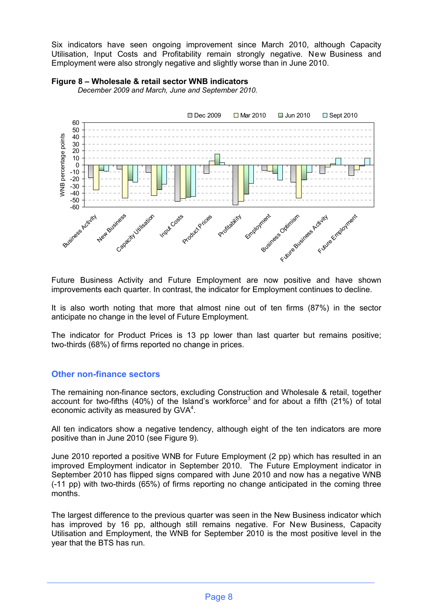Six indicators have seen ongoing improvement since March 2010, although Capacity Utilisation, Input Costs and Profitability remain strongly negative. New Business and Employment were also strongly negative and slightly worse than in June 2010.



#### **Figure 8 – Wholesale & retail sector WNB indicators**

*December 2009 and March, June and September 2010.*

Future Business Activity and Future Employment are now positive and have shown improvements each quarter. In contrast, the indicator for Employment continues to decline.

It is also worth noting that more that almost nine out of ten firms (87%) in the sector anticipate no change in the level of Future Employment.

The indicator for Product Prices is 13 pp lower than last quarter but remains positive; two-thirds (68%) of firms reported no change in prices.

#### **Other non-finance sectors**

The remaining non-finance sectors, excluding Construction and Wholesale & retail, together account for two-fifths (40%) of the Island's workforce<sup>3</sup> and for about a fifth (21%) of total economic activity as measured by  $GVA<sup>4</sup>$ .

All ten indicators show a negative tendency, although eight of the ten indicators are more positive than in June 2010 (see Figure 9).

June 2010 reported a positive WNB for Future Employment (2 pp) which has resulted in an improved Employment indicator in September 2010. The Future Employment indicator in September 2010 has flipped signs compared with June 2010 and now has a negative WNB (-11 pp) with two-thirds (65%) of firms reporting no change anticipated in the coming three months.

The largest difference to the previous quarter was seen in the New Business indicator which has improved by 16 pp, although still remains negative. For New Business, Capacity Utilisation and Employment, the WNB for September 2010 is the most positive level in the year that the BTS has run.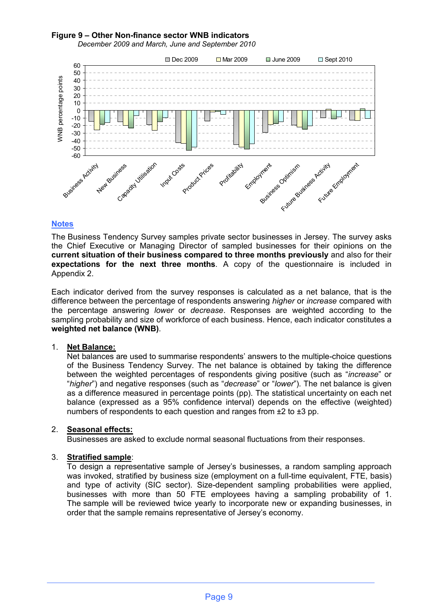#### **Figure 9 – Other Non-finance sector WNB indicators**



*December 2009 and March, June and September 2010* 

#### **WNB** percentage points WNB percentage points 10  $\Omega$ -10 -20 -30 -40 -50 -60 Business Activity Profitability New Business Utilisation Employment Englisher Round Employment Input Costs

#### **Notes**

The Business Tendency Survey samples private sector businesses in Jersey. The survey asks the Chief Executive or Managing Director of sampled businesses for their opinions on the **current situation of their business compared to three months previously** and also for their **expectations for the next three months**. A copy of the questionnaire is included in Appendix 2.

Each indicator derived from the survey responses is calculated as a net balance, that is the difference between the percentage of respondents answering *higher* or *increase* compared with the percentage answering *lower* or *decrease*. Responses are weighted according to the sampling probability and size of workforce of each business. Hence, each indicator constitutes a **weighted net balance (WNB)**.

#### 1. **Net Balance:**

Net balances are used to summarise respondents' answers to the multiple-choice questions of the Business Tendency Survey. The net balance is obtained by taking the difference between the weighted percentages of respondents giving positive (such as "*increase*" or "*higher*") and negative responses (such as "*decrease*" or "*lower*"). The net balance is given as a difference measured in percentage points (pp). The statistical uncertainty on each net balance (expressed as a 95% confidence interval) depends on the effective (weighted) numbers of respondents to each question and ranges from ±2 to ±3 pp.

#### 2. **Seasonal effects:**

Businesses are asked to exclude normal seasonal fluctuations from their responses.

#### 3. **Stratified sample**:

To design a representative sample of Jersey's businesses, a random sampling approach was invoked, stratified by business size (employment on a full-time equivalent, FTE, basis) and type of activity (SIC sector). Size-dependent sampling probabilities were applied, businesses with more than 50 FTE employees having a sampling probability of 1. The sample will be reviewed twice yearly to incorporate new or expanding businesses, in order that the sample remains representative of Jersey's economy.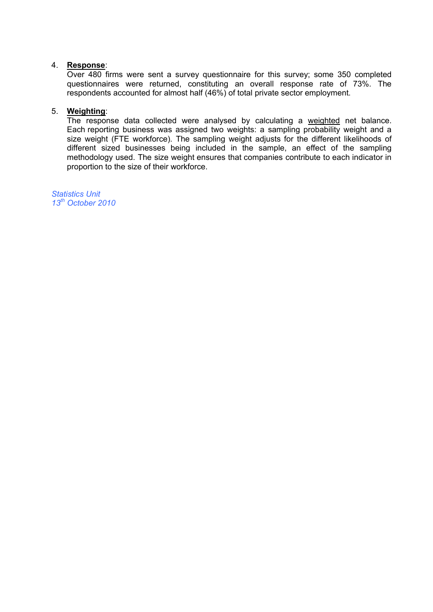#### 4. **Response**:

Over 480 firms were sent a survey questionnaire for this survey; some 350 completed questionnaires were returned, constituting an overall response rate of 73%. The respondents accounted for almost half (46%) of total private sector employment.

#### 5. **Weighting**:

The response data collected were analysed by calculating a weighted net balance. Each reporting business was assigned two weights: a sampling probability weight and a size weight (FTE workforce). The sampling weight adjusts for the different likelihoods of different sized businesses being included in the sample, an effect of the sampling methodology used. The size weight ensures that companies contribute to each indicator in proportion to the size of their workforce.

*Statistics Unit 13 th October 2010*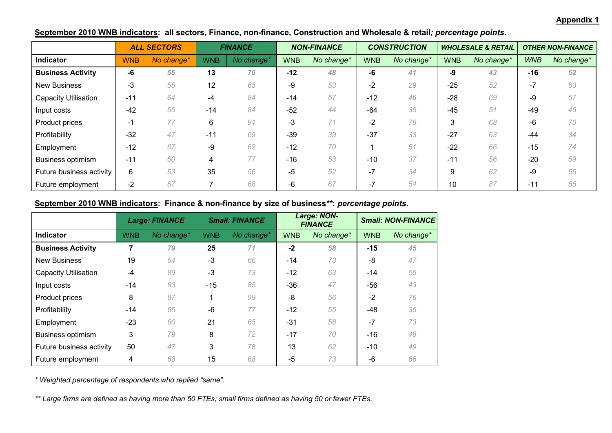#### **Appendix 1**

|                             |            | <b>ALL SECTORS</b> |            | <b>FINANCE</b> |            | <b>NON-FINANCE</b> |            | <b>CONSTRUCTION</b> |            | <b>WHOLESALE &amp; RETAIL</b> |            | <b>OTHER NON-FINANCE</b> |
|-----------------------------|------------|--------------------|------------|----------------|------------|--------------------|------------|---------------------|------------|-------------------------------|------------|--------------------------|
| Indicator                   | <b>WNB</b> | No change*         | <b>WNB</b> | No change*     | <b>WNB</b> | No change*         | <b>WNB</b> | No change*          | <b>WNB</b> | No change*                    | <b>WNB</b> | No change*               |
| <b>Business Activity</b>    | -6         | 55                 | 13         | 76             | $-12$      | 48                 | -6         | 41                  | -9         | 43                            | $-16$      | 52                       |
| <b>New Business</b>         | $-3$       | 56                 | 12         | 65             | -9         | 53                 | $-2$       | 29                  | $-25$      | 52                            | $-7$       | 63                       |
| <b>Capacity Utilisation</b> | $-11$      | 64                 | -4         | 84             | $-14$      | 57                 | $-12$      | 46                  | $-28$      | 69                            | -9         | 57                       |
| Input costs                 | $-42$      | 55                 | $-14$      | 84             | $-52$      | 44                 | $-64$      | 35                  | $-45$      | 51                            | $-49$      | 45                       |
| Product prices              | -1         | 77                 | 6          | 91             | $-3$       | 71                 | $-2$       | 78                  | 3          | 68                            | -6         | 70                       |
| Profitability               | $-32$      | 47                 | $-11$      | 69             | $-39$      | 39                 | $-37$      | 33                  | $-27$      | 63                            | -44        | 34                       |
| Employment                  | $-12$      | 67                 | -9         | 62             | $-12$      | 70                 |            | 61                  | $-22$      | 66                            | $-15$      | 74                       |
| <b>Business optimism</b>    | $-11$      | 60                 | 4          | 77             | $-16$      | 53                 | $-10$      | 37                  | $-11$      | 56                            | $-20$      | 59                       |
| Future business activity    | 6          | 53                 | 35         | 56             | $-5$       | 52                 | $-7$       | 34                  | 9          | 62                            | -9         | 55                       |
| Future employment           | $-2$       | 67                 |            | 68             | -6         | 67                 | -1         | 54                  | 10         | 87                            | $-11$      | 65                       |

## **September 2010 WNB indicators: all sectors, Finance, non-finance, Construction and Wholesale & retail***; percentage points.*

## **September 2010 WNB indicators: Finance & non-finance by size of business***\*\****:** *percentage points.*

|                             |            | <b>Large: FINANCE</b> | <b>Small: FINANCE</b> |            | <b>Large: NON-</b><br><b>FINANCE</b> |            | <b>Small: NON-FINANCE</b> |            |
|-----------------------------|------------|-----------------------|-----------------------|------------|--------------------------------------|------------|---------------------------|------------|
| Indicator                   | <b>WNB</b> | No change*            | <b>WNB</b>            | No change* | <b>WNB</b>                           | No change* | <b>WNB</b>                | No change* |
| <b>Business Activity</b>    | 7          | 79                    | 25                    | 71         | $-2$                                 | 58         | -15                       | 45         |
| <b>New Business</b>         | 19         | 64                    | $-3$                  | 66         | $-14$                                | 73         | -8                        | 47         |
| <b>Capacity Utilisation</b> | $-4$       | 89                    | $-3$                  | 73         | $-12$                                | 63         | $-14$                     | 55         |
| Input costs                 | $-14$      | 83                    | $-15$                 | 85         | $-36$                                | 47         | -56                       | 43         |
| Product prices              | 8          | 87                    | 1                     | 99         | -8                                   | 56         | $-2$                      | 76         |
| Profitability               | $-14$      | 65                    | $-6$                  | 77         | $-12$                                | 55         | -48                       | 35         |
| Employment                  | $-23$      | 60                    | 21                    | 65         | $-31$                                | 58         | $-7$                      | 73         |
| <b>Business optimism</b>    | 3          | 79                    | 8                     | 72         | $-17$                                | 70         | $-16$                     | 48         |
| Future business activity    | 50         | 47                    | 3                     | 78         | 13                                   | 62         | $-10$                     | 49         |
| Future employment           | 4          | 68                    | 15                    | 68         | $-5$                                 | 73         | -6                        | 66         |

*\* Weighted percentage of respondents who replied "same".*

*\*\* Large firms are defined as having more than 50 FTEs; small firms defined as having 50 or fewer FTEs.*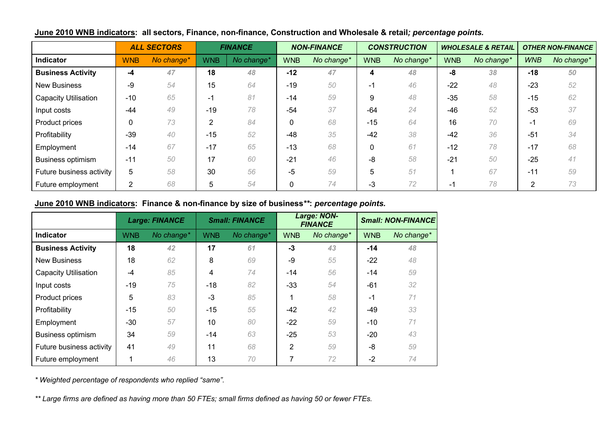|                             |                | <b>ALL SECTORS</b> |            | <b>FINANCE</b> |            | <b>NON-FINANCE</b> |            | <b>CONSTRUCTION</b> |            | <b>WHOLESALE &amp; RETAIL</b> |            | <b>OTHER NON-FINANCE</b> |
|-----------------------------|----------------|--------------------|------------|----------------|------------|--------------------|------------|---------------------|------------|-------------------------------|------------|--------------------------|
| Indicator                   | <b>WNB</b>     | No change*         | <b>WNB</b> | No change*     | <b>WNB</b> | No change*         | <b>WNB</b> | No change*          | <b>WNB</b> | No change*                    | <b>WNB</b> | No change*               |
| <b>Business Activity</b>    | -4             | 47                 | 18         | 48             | $-12$      | 47                 | 4          | 48                  | -8         | 38                            | $-18$      | 50                       |
| <b>New Business</b>         | -9             | 54                 | 15         | 64             | $-19$      | 50                 | $-1$       | 46                  | $-22$      | 48                            | $-23$      | 52                       |
| <b>Capacity Utilisation</b> | $-10$          | 65                 | -1         | 81             | $-14$      | 59                 | 9          | 48                  | $-35$      | 58                            | $-15$      | 62                       |
| Input costs                 | -44            | 49                 | $-19$      | 78             | $-54$      | 37                 | $-64$      | 24                  | $-46$      | 52                            | $-53$      | 37                       |
| Product prices              | $\Omega$       | 73                 | ົ          | 84             | 0          | 68                 | $-15$      | 64                  | 16         | 70                            | $\sim$     | 69                       |
| Profitability               | $-39$          | 40                 | $-15$      | 52             | $-48$      | 35                 | $-42$      | 38                  | $-42$      | 36                            | $-51$      | 34                       |
| Employment                  | -14            | 67                 | $-17$      | 65             | $-13$      | 68                 | $\Omega$   | 61                  | $-12$      | 78                            | $-17$      | 68                       |
| <b>Business optimism</b>    | $-11$          | 50                 | 17         | 60             | $-21$      | 46                 | -8         | 58                  | $-21$      | 50                            | $-25$      | 41                       |
| Future business activity    | 5              | 58                 | 30         | 56             | $-5$       | 59                 | 5          | 51                  |            | 67                            | $-11$      | 59                       |
| Future employment           | $\overline{2}$ | 68                 |            | 54             | 0          | 74                 | $-3$       | 72                  | -1         | 78                            | 2          | 73                       |

## **June 2010 WNB indicators: all sectors, Finance, non-finance, Construction and Wholesale & retail***; percentage points.*

## **June 2010 WNB indicators: Finance & non-finance by size of business***\*\****:** *percentage points.*

|                             | <b>Large: FINANCE</b> |            | <b>Small: FINANCE</b> |            | <b>Large: NON-</b><br><b>FINANCE</b> |            | <b>Small: NON-FINANCE</b> |            |
|-----------------------------|-----------------------|------------|-----------------------|------------|--------------------------------------|------------|---------------------------|------------|
| <b>Indicator</b>            | <b>WNB</b>            | No change* | <b>WNB</b>            | No change* | <b>WNB</b>                           | No change* | <b>WNB</b>                | No change* |
| <b>Business Activity</b>    | 18                    | 42         | 17                    | 61         | $-3$                                 | 43         | $-14$                     | 48         |
| <b>New Business</b>         | 18                    | 62         | 8                     | 69         | -9                                   | 55         | $-22$                     | 48         |
| <b>Capacity Utilisation</b> | $-4$                  | 85         | 4                     | 74         | -14                                  | 56         | $-14$                     | 59         |
| Input costs                 | $-19$                 | 75         | $-18$                 | 82         | $-33$                                | 54         | $-61$                     | 32         |
| Product prices              | 5                     | 83         | $-3$                  | 85         |                                      | 58         | $-1$                      | 71         |
| Profitability               | $-15$                 | 50         | $-15$                 | 55         | -42                                  | 42         | $-49$                     | 33         |
| Employment                  | $-30$                 | 57         | 10                    | 80         | $-22$                                | 59         | $-10$                     | 71         |
| <b>Business optimism</b>    | 34                    | 59         | $-14$                 | 63         | $-25$                                | 53         | $-20$                     | 43         |
| Future business activity    | 41                    | 49         | 11                    | 68         | $\overline{2}$                       | 59         | -8                        | 59         |
| Future employment           |                       | 46         | 13                    | 70         | 7                                    | 72         | $-2$                      | 74         |

*\* Weighted percentage of respondents who replied "same".*

*\*\* Large firms are defined as having more than 50 FTEs; small firms defined as having 50 or fewer FTEs.*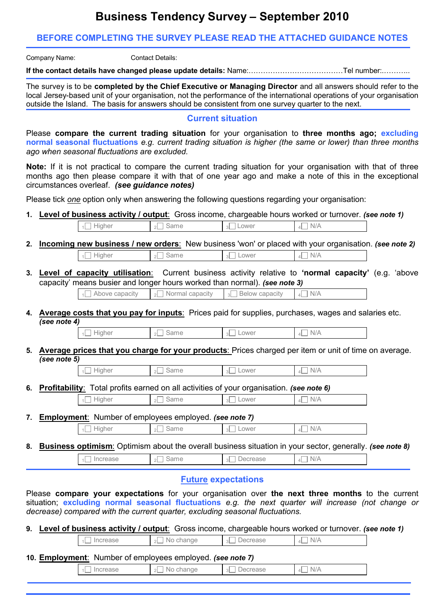# **Business Tendency Survey – September 2010**

## **BEFORE COMPLETING THE SURVEY PLEASE READ THE ATTACHED GUIDANCE NOTES**

Company Name: Contact Details:

**If the contact details have changed please update details:** Name:…………………………………Tel number:.………..

The survey is to be **completed by the Chief Executive or Managing Director** and all answers should refer to the local Jersey-based unit of your organisation, not the performance of the international operations of your organisation outside the Island. The basis for answers should be consistent from one survey quarter to the next.

#### **Current situation**

Please **compare the current trading situation** for your organisation to **three months ago; excluding normal seasonal fluctuations** *e.g. current trading situation is higher (the same or lower) than three months ago when seasonal fluctuations are excluded.*

**Note:** If it is not practical to compare the current trading situation for your organisation with that of three months ago then please compare it with that of one year ago and make a note of this in the exceptional circumstances overleaf. *(see guidance notes)*

Please tick *one* option only when answering the following questions regarding your organisation:

**1. Level of business activity / output**: Gross income, chargeable hours worked or turnover. *(see note 1)*

| Higher<br><b>Burns</b><br>ower<br>ame<br>$\sim$<br>$\sim$<br>4L<br>- 3 L<br><b>A.M. PA</b><br>ີ | N.<br>$1$ $111$ |
|-------------------------------------------------------------------------------------------------|-----------------|
|-------------------------------------------------------------------------------------------------|-----------------|

- **2. Incoming new business / new orders**: New business 'won' or placed with your organisation. *(see note 2)*  $\frac{1}{2}$  Higher  $\frac{1}{2}$  Same  $\frac{1}{3}$  Lower  $\frac{1}{4}$  N/A
- **3. Level of capacity utilisation**: Current business activity relative to **'normal capacity'** (e.g. 'above capacity' means busier and longer hours worked than normal). *(see note 3)*

 $\frac{1}{2}$  Above capacity  $\frac{1}{2}$  Normal capacity  $\frac{1}{3}$  Below capacity  $\frac{1}{4}$  N/A

**4. Average costs that you pay for inputs**: Prices paid for supplies, purchases, wages and salaries etc. *(see note 4)*

|  | $\Box$ Higher | $_2\square$ Same | $3$ Lower | $4\Box N/A$ |
|--|---------------|------------------|-----------|-------------|
|--|---------------|------------------|-----------|-------------|

**5. Average prices that you charge for your products**: Prices charged per item or unit of time on average. *(see note 5)*

| tiaher<br>$\bigcap$<br>∽ | Same | Lower<br>$\sim$<br>◡∟ | N/A |
|--------------------------|------|-----------------------|-----|
|--------------------------|------|-----------------------|-----|

**6. Profitability**: Total profits earned on all activities of your organisation. *(see note 6)*

| $\Box$ Higher | Same<br>$\mathcal{D}$<br><u>_</u> | Lower<br>3L | N/A<br>$\Delta$ |
|---------------|-----------------------------------|-------------|-----------------|
|---------------|-----------------------------------|-------------|-----------------|

**7. Employment**: Number of employees employed. *(see note 7)*  $\frac{1}{1}$  Higher  $\frac{1}{2}$  Same  $\frac{1}{3}$  Lower  $\frac{1}{4}$  N/A

**8. Business optimism**: Optimism about the overall business situation in your sector, generally. *(see note 8)*

 $\Box$  Increase  $\Box$  Same  $\Box$  Decrease  $\Box$  N/A

## **Future expectations**

Please **compare your expectations** for your organisation over **the next three months** to the current situation; **excluding normal seasonal fluctuations** *e.g. the next quarter will increase (not change or decrease) compared with the current quarter, excluding seasonal fluctuations.*

**9. Level of business activity / output**: Gross income, chargeable hours worked or turnover. *(see note 1)*

 $\overline{1}$  Increase  $\overline{3}$  No change  $\overline{3}$  Decrease  $\overline{4}$  N/A

**10. Employment**: Number of employees employed. *(see note 7)*

 $\Box$  Increase  $\Box$   $\Box$  No change  $\Box$   $\Box$  Decrease  $\Box$   $\Box$  N/A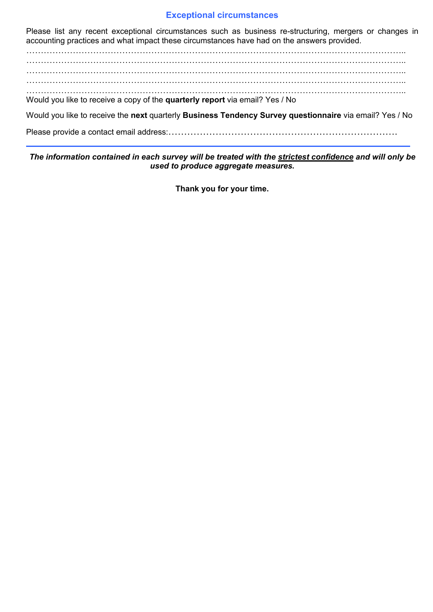### **Exceptional circumstances**

Please list any recent exceptional circumstances such as business re-structuring, mergers or changes in accounting practices and what impact these circumstances have had on the answers provided.

………………………………………………………………………………………………………………….. ………………………………………………………………………………………………………………….. ………………………………………………………………………………………………………………….. ………………………………………………………………………………………………………………….. ………………………………………………………………………………………………………………….. Would you like to receive a copy of the **quarterly report** via email? Yes / No

Would you like to receive the **next** quarterly **Business Tendency Survey questionnaire** via email? Yes / No

Please provide a contact email address:……………………………………………………………….

*The information contained in each survey will be treated with the strictest confidence and will only be used to produce aggregate measures.*

**Thank you for your time.**